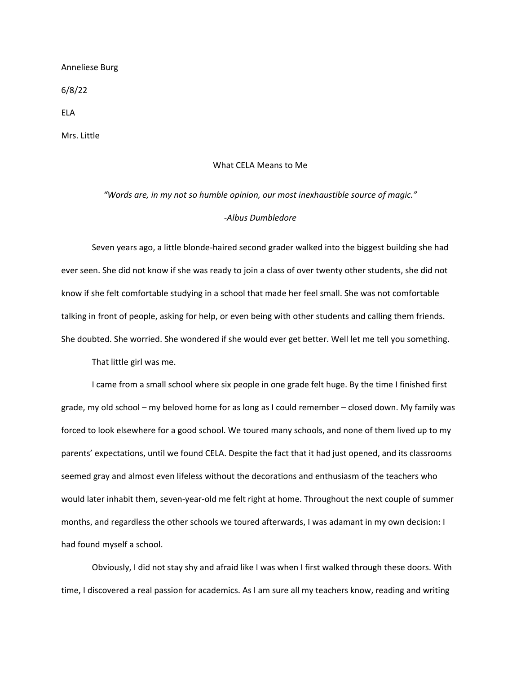Anneliese Burg

6/8/22

ELA

Mrs. Little

## What CELA Means to Me

## *"Words are, in my not so humble opinion, our most inexhaustible source of magic." ‐Albus Dumbledore*

Seven years ago, a little blonde‐haired second grader walked into the biggest building she had ever seen. She did not know if she was ready to join a class of over twenty other students, she did not know if she felt comfortable studying in a school that made her feel small. She was not comfortable talking in front of people, asking for help, or even being with other students and calling them friends. She doubted. She worried. She wondered if she would ever get better. Well let me tell you something.

That little girl was me.

I came from a small school where six people in one grade felt huge. By the time I finished first grade, my old school – my beloved home for as long as I could remember – closed down. My family was forced to look elsewhere for a good school. We toured many schools, and none of them lived up to my parents' expectations, until we found CELA. Despite the fact that it had just opened, and its classrooms seemed gray and almost even lifeless without the decorations and enthusiasm of the teachers who would later inhabit them, seven-year-old me felt right at home. Throughout the next couple of summer months, and regardless the other schools we toured afterwards, I was adamant in my own decision: I had found myself a school.

Obviously, I did not stay shy and afraid like I was when I first walked through these doors. With time, I discovered a real passion for academics. As I am sure all my teachers know, reading and writing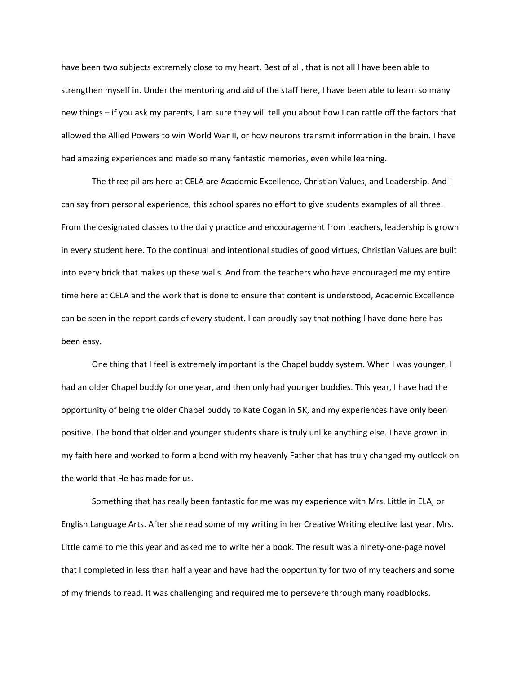have been two subjects extremely close to my heart. Best of all, that is not all I have been able to strengthen myself in. Under the mentoring and aid of the staff here, I have been able to learn so many new things – if you ask my parents, I am sure they will tell you about how I can rattle off the factors that allowed the Allied Powers to win World War II, or how neurons transmit information in the brain. I have had amazing experiences and made so many fantastic memories, even while learning.

The three pillars here at CELA are Academic Excellence, Christian Values, and Leadership. And I can say from personal experience, this school spares no effort to give students examples of all three. From the designated classes to the daily practice and encouragement from teachers, leadership is grown in every student here. To the continual and intentional studies of good virtues, Christian Values are built into every brick that makes up these walls. And from the teachers who have encouraged me my entire time here at CELA and the work that is done to ensure that content is understood, Academic Excellence can be seen in the report cards of every student. I can proudly say that nothing I have done here has been easy.

One thing that I feel is extremely important is the Chapel buddy system. When I was younger, I had an older Chapel buddy for one year, and then only had younger buddies. This year, I have had the opportunity of being the older Chapel buddy to Kate Cogan in 5K, and my experiences have only been positive. The bond that older and younger students share is truly unlike anything else. I have grown in my faith here and worked to form a bond with my heavenly Father that has truly changed my outlook on the world that He has made for us.

Something that has really been fantastic for me was my experience with Mrs. Little in ELA, or English Language Arts. After she read some of my writing in her Creative Writing elective last year, Mrs. Little came to me this year and asked me to write her a book. The result was a ninety‐one‐page novel that I completed in less than half a year and have had the opportunity for two of my teachers and some of my friends to read. It was challenging and required me to persevere through many roadblocks.